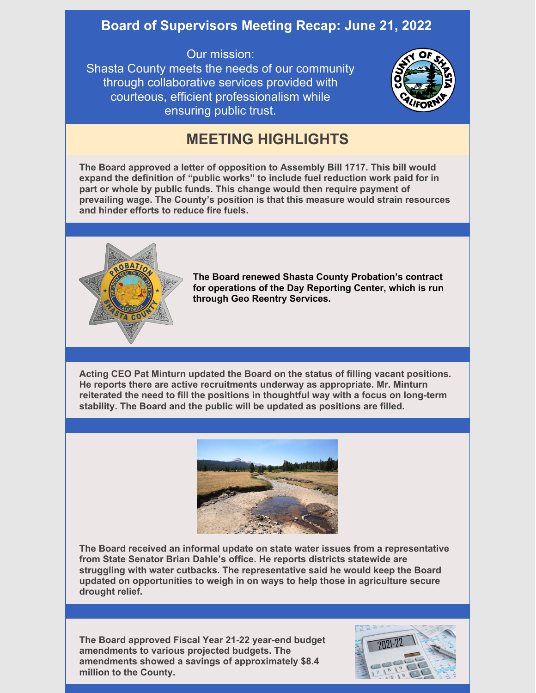## **Board of Supervisors Meeting Recap: June 21, 2022**

Our mission: Shasta County meets the needs of our community through collaborative services provided with courteous, efficient professionalism while ensuring public trust.



## **MEETING HIGHLIGHTS**

**The Board approved a letter of opposition to Assembly Bill 1717. This bill would expand the definition of "public works" to include fuel reduction work paid for in part or whole by public funds. This change would then require payment of prevailing wage. The County's position is that this measure would strain resources and hinder efforts to reduce fire fuels.**



**The Board renewed Shasta County Probation's contract for operations of the Day Reporting Center, which is run through Geo Reentry Services.**

**Acting CEO Pat Minturn updated the Board on the status of filling vacant positions. He reports there are active recruitments underway as appropriate. Mr. Minturn reiterated the need to fill the positions in thoughtful way with a focus on long-term stability. The Board and the public will be updated as positions are filled.**



**The Board received an informal update on state water issues from a representative from State Senator Brian Dahle's office. He reports districts statewide are struggling with water cutbacks. The representative said he would keep the Board updated on opportunities to weigh in on ways to help those in agriculture secure drought relief.**

**The Board approved Fiscal Year 21-22 year-end budget amendments to various projected budgets. The amendments showed a savings of approximately \$8.4 million to the County.**